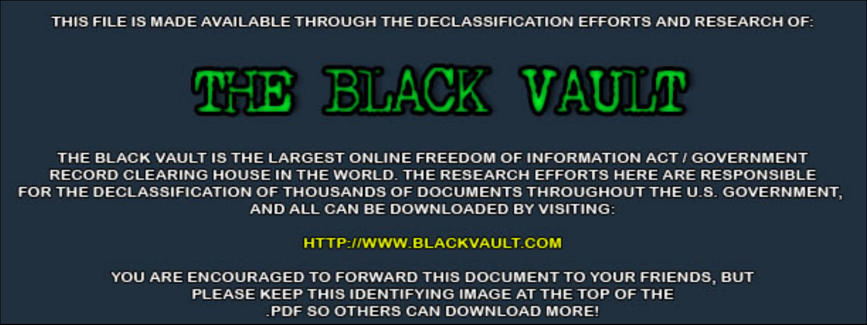THIS FILE IS MADE AVAILABLE THROUGH THE DECLASSIFICATION EFFORTS AND RESEARCH OF:



THE BLACK VAULT IS THE LARGEST ONLINE FREEDOM OF INFORMATION ACT / GOVERNMENT RECORD CLEARING HOUSE IN THE WORLD. THE RESEARCH EFFORTS HERE ARE RESPONSIBLE FOR THE DECLASSIFICATION OF THOUSANDS OF DOCUMENTS THROUGHOUT THE U.S. GOVERNMENT, AND ALL CAN BE DOWNLOADED BY VISITING:

**HTTP://WWW.BLACKVAULT.COM** 

YOU ARE ENCOURAGED TO FORWARD THIS DOCUMENT TO YOUR FRIENDS, BUT PLEASE KEEP THIS IDENTIFYING IMAGE AT THE TOP OF THE PDF SO OTHERS CAN DOWNLOAD MORE!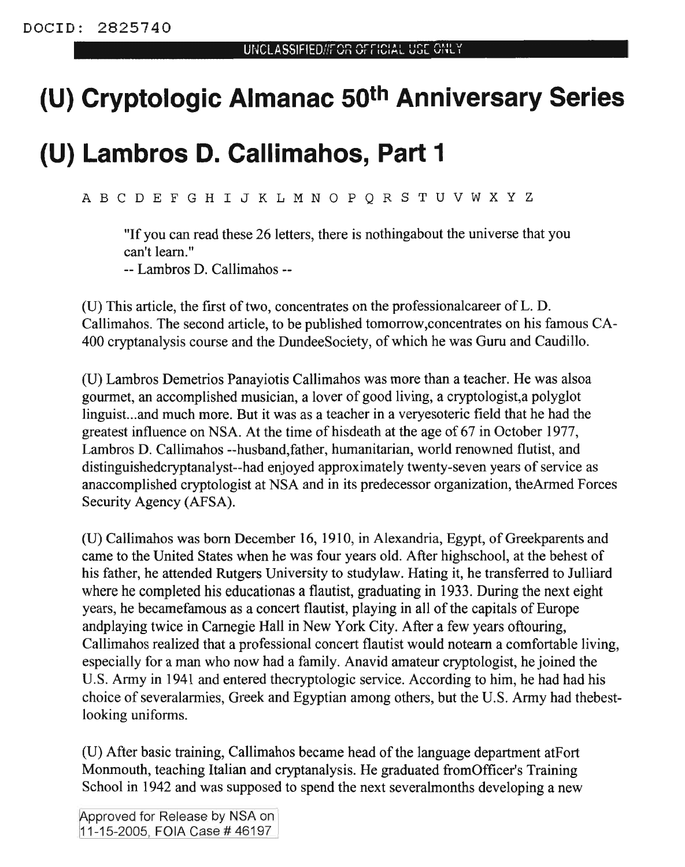## **(U) Cryptologic Almanac 50th Anniversary Series**

## **(U) Lambros D. Callimahos, Part 1**

ABC D E F G H I <sup>J</sup> K L M N 0 P Q R STU V W x y z

"If you can read these 26 letters, there is nothingabout the universe that you can't learn."

-- Lambros D. Callimahos--

(U) This article, the first of two, concentrates on the professional career of  $L$ . D. Callimahos. The second article, to be published tomorrow,concentrates on his famous CA-400 cryptanalysis course and the DundeeSociety, of which he was Guru and Caudillo.

(U) Lambros Demetrios Panayiotis Callimahos was more than a teacher. He was alsoa gourmet, an accomplished musician, a lover of good living, a cryptologist,a polyglot linguist...and much more. But it was as a teacher in a veryesoteric field that he had the greatest influence on NSA. At the time of hisdeath at the age of 67 in October 1977, Lambros D. Callimahos --husband,father, humanitarian, world renowned flutist, and distinguishedcryptanalyst--had enjoyed approximately twenty-seven years of service as anaccomplished cryptologist at NSA and in its predecessor organization, theArmed Forces Security Agency (AFSA).

(U) Callimahos was born December 16, 1910, in Alexandria, Egypt, of Greekparents and came to the United States when he was four years old. After highschool, at the behest of his father, he attended Rutgers University to studylaw. Hating it, he transferred to Julliard where he completed his educationas a flautist, graduating in 1933. During the next eight years, he becamefamous as a concert flautist, playing in all of the capitals of Europe andplaying twice in Carnegie Hall in New York City. After a few years oftouring, Callimahos realized that a professional concert flautist would noteam a comfortable living, especially for a man who now had a family. Anavid amateur cryptologist, he joined the U.S. Army in 1941 and entered thecryptologic service. According to him, he had had his choice of severalarmies, Greek and Egyptian among others, but the U.S. Army had thebestlooking uniforms.

(U) After basic training, Callimahos became head ofthe language department atPort Monmouth, teaching Italian and cryptanalysis. He graduated from Officer's Training School in 1942 and was supposed to spend the next severalmonths developing a new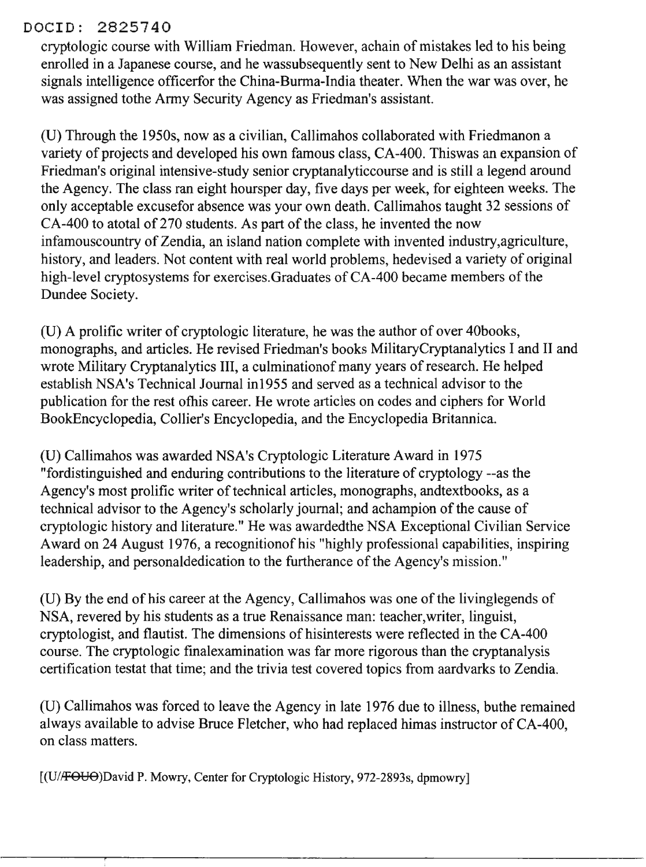## DOCID: 2825740

cryptologic course with William Friedman. However, achain of mistakes led to his being enrolled in a Japanese course, and he wassubsequently sent to New Delhi as an assistant signals intelligence officerfor the China-Burma-India theater. When the war was over, he was assigned tothe Army Security Agency as Friedman's assistant.

(U) Through the 1950s, now as a civilian, Callimahos collaborated with Friedmanon a variety of projects and developed his own famous class, CA-400. Thiswas an expansion of Friedman's original intensive-study senior cryptanalyticcourse and is still a legend around the Agency. The class ran eight hoursper day, five days per week, for eighteen weeks. The only acceptable excusefor absence was your own death. Callimahos taught 32 sessions of CA-400 to atotal of 270 students. As part of the class, he invented the now infamouscountry of Zendia, an island nation complete with invented industry, agriculture, history, and leaders. Not content with real world problems, hedevised a variety of original high-level cryptosystems for exercises.Graduates of CA-400 became members of the Dundee Society.

(U) A prolific writer of cryptologic literature, he was the author of over 40books, monographs, and articles. He revised Friedman's books MilitaryCryptanalytics I and II and wrote Military Cryptanalytics III, a culmination of many years of research. He helped establish NSA's Technical Journal in1955 and served as a technical advisor to the publication for the rest ofhis career. He wrote articles on codes and ciphers for World BookEncyclopedia, Collier's Encyclopedia, and the Encyclopedia Britannica.

(U) Callimahos was awarded NSA's Cryptologic Literature Award in 1975 "fordistinguished and enduring contributions to the literature of cryptology --as the Agency's most prolific writer of technical articles, monographs, andtextbooks, as a technical advisor to the Agency's scholarly journal; and achampion of the cause of cryptologic history and literature." He was awardedthe NSA Exceptional Civilian Service Award on 24 August 1976, a recognition of his "highly professional capabilities, inspiring leadership, and personaldedication to the furtherance of the Agency's mission."

(U) By the end of his career at the Agency, Callimahos was one of the livinglegends of NSA, revered by his students as a true Renaissance man: teacher,writer, linguist, cryptologist, and flautist. The dimensions of hisinterests were reflected in the CA-400 course. The cryptologic fmalexamination was far more rigorous than the cryptanalysis certification testat that time; and the trivia test covered topics from aardvarks to Zendia.

(U) Callimahos was forced to leave the Agency in late 1976 due to illness, buthe remained always available to advise Bruce Fletcher, who had replaced himas instructor of CA-400, on class matters.

[(U//FOUO)David P. Mowry, Center for Cryptologic History, 972-2893s, dpmowry]